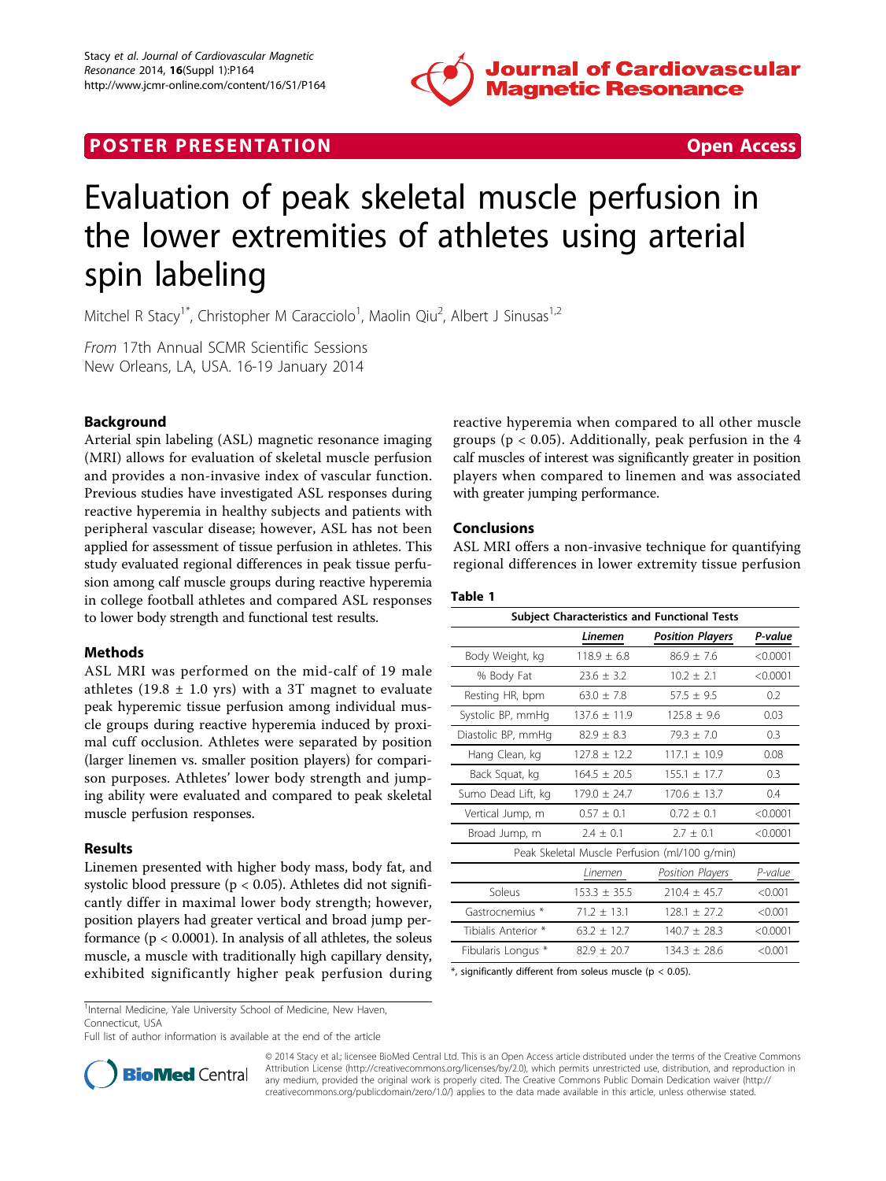

# **POSTER PRESENTATION CONSUMING THE SECOND CONSUMING THE SECOND CONSUMING THE SECOND CONSUMING THE SECOND CONSUMING THE SECOND CONSUMING THE SECOND CONSUMING THE SECOND CONSUMING THE SECOND CONSUMING THE SECOND CONSUMING**



# Evaluation of peak skeletal muscle perfusion in the lower extremities of athletes using arterial spin labeling

Mitchel R Stacy<sup>1\*</sup>, Christopher M Caracciolo<sup>1</sup>, Maolin Qiu<sup>2</sup>, Albert J Sinusas<sup>1,2</sup>

From 17th Annual SCMR Scientific Sessions New Orleans, LA, USA. 16-19 January 2014

## Background

Arterial spin labeling (ASL) magnetic resonance imaging (MRI) allows for evaluation of skeletal muscle perfusion and provides a non-invasive index of vascular function. Previous studies have investigated ASL responses during reactive hyperemia in healthy subjects and patients with peripheral vascular disease; however, ASL has not been applied for assessment of tissue perfusion in athletes. This study evaluated regional differences in peak tissue perfusion among calf muscle groups during reactive hyperemia in college football athletes and compared ASL responses to lower body strength and functional test results.

## Methods

ASL MRI was performed on the mid-calf of 19 male athletes (19.8  $\pm$  1.0 yrs) with a 3T magnet to evaluate peak hyperemic tissue perfusion among individual muscle groups during reactive hyperemia induced by proximal cuff occlusion. Athletes were separated by position (larger linemen vs. smaller position players) for comparison purposes. Athletes' lower body strength and jumping ability were evaluated and compared to peak skeletal muscle perfusion responses.

## Results

Linemen presented with higher body mass, body fat, and systolic blood pressure ( $p < 0.05$ ). Athletes did not significantly differ in maximal lower body strength; however, position players had greater vertical and broad jump performance ( $p < 0.0001$ ). In analysis of all athletes, the soleus muscle, a muscle with traditionally high capillary density, exhibited significantly higher peak perfusion during reactive hyperemia when compared to all other muscle groups ( $p < 0.05$ ). Additionally, peak perfusion in the 4 calf muscles of interest was significantly greater in position players when compared to linemen and was associated with greater jumping performance.

#### Conclusions

ASL MRI offers a non-invasive technique for quantifying regional differences in lower extremity tissue perfusion

#### Table 1

| <b>Subject Characteristics and Functional Tests</b> |                  |                                               |          |
|-----------------------------------------------------|------------------|-----------------------------------------------|----------|
|                                                     | Linemen          | <b>Position Players</b>                       | P-value  |
| Body Weight, kg                                     | $118.9 + 6.8$    | $86.9 + 7.6$                                  | < 0.0001 |
| % Body Fat                                          | $23.6 \pm 3.2$   | $10.2 + 2.1$                                  | < 0.0001 |
| Resting HR, bpm                                     | $63.0 \pm 7.8$   | $57.5 \pm 9.5$                                | 0.2      |
| Systolic BP, mmHg                                   | $137.6 \pm 11.9$ | $125.8 + 9.6$                                 | 0.03     |
| Diastolic BP, mmHg                                  | $82.9 + 8.3$     | $79.3 + 7.0$                                  | 0.3      |
| Hang Clean, kg                                      | $127.8 + 12.2$   | $1171 + 109$                                  | 0.08     |
| Back Squat, kg                                      | $164.5 + 20.5$   | $155.1 + 17.7$                                | 0.3      |
| Sumo Dead Lift, kg                                  | $179.0 + 24.7$   | $170.6 + 13.7$                                | 0.4      |
| Vertical Jump, m                                    | $0.57 + 0.1$     | $0.72 + 0.1$                                  | < 0.0001 |
| Broad Jump, m                                       | $2.4 + 0.1$      | $2.7 + 0.1$                                   | < 0.0001 |
|                                                     |                  | Peak Skeletal Muscle Perfusion (ml/100 g/min) |          |
|                                                     | Linemen          | Position Players                              | P-value  |
| Soleus                                              | $153.3 + 35.5$   | $710.4 \pm 45.7$                              | < 0.001  |
| Gastrocnemius *                                     | $71.2 + 13.1$    | $128.1 \pm 27.2$                              | < 0.001  |
| Tibialis Anterior *                                 | $63.2 + 12.7$    | $140.7 + 28.3$                                | < 0.0001 |
| Fibularis Longus *                                  | $82.9 + 20.7$    | $134.3 + 28.6$                                | < 0.001  |

 $*$ , significantly different from soleus muscle (p < 0.05).

<sup>1</sup>Internal Medicine, Yale University School of Medicine, New Haven, Connecticut, USA

Full list of author information is available at the end of the article



© 2014 Stacy et al.; licensee BioMed Central Ltd. This is an Open Access article distributed under the terms of the Creative Commons Attribution License [\(http://creativecommons.org/licenses/by/2.0](http://creativecommons.org/licenses/by/2.0)), which permits unrestricted use, distribution, and reproduction in any medium, provided the original work is properly cited. The Creative Commons Public Domain Dedication waiver [\(http://](http://creativecommons.org/publicdomain/zero/1.0/) [creativecommons.org/publicdomain/zero/1.0/](http://creativecommons.org/publicdomain/zero/1.0/)) applies to the data made available in this article, unless otherwise stated.